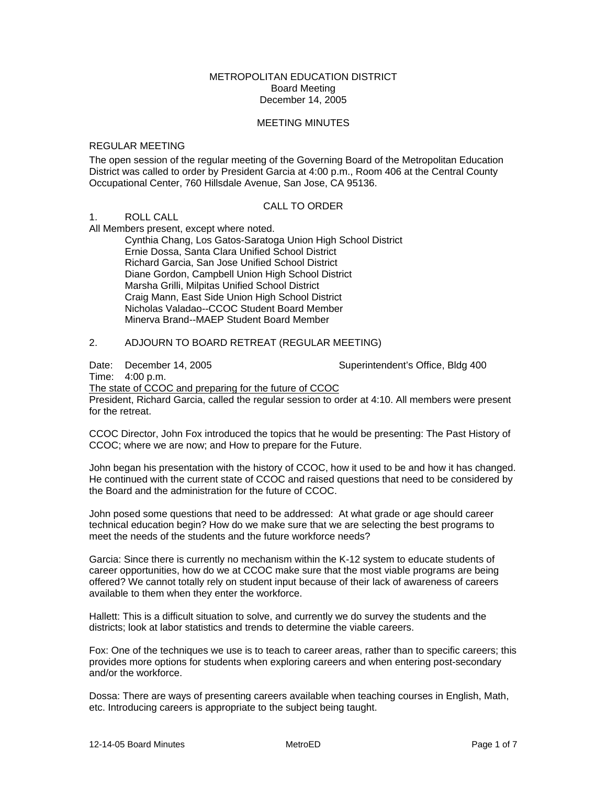## METROPOLITAN EDUCATION DISTRICT Board Meeting December 14, 2005

#### MEETING MINUTES

#### REGULAR MEETING

The open session of the regular meeting of the Governing Board of the Metropolitan Education District was called to order by President Garcia at 4:00 p.m., Room 406 at the Central County Occupational Center, 760 Hillsdale Avenue, San Jose, CA 95136.

## CALL TO ORDER

# 1. ROLL CALL

All Members present, except where noted.

 Cynthia Chang, Los Gatos-Saratoga Union High School District Ernie Dossa, Santa Clara Unified School District Richard Garcia, San Jose Unified School District Diane Gordon, Campbell Union High School District Marsha Grilli, Milpitas Unified School District Craig Mann, East Side Union High School District Nicholas Valadao--CCOC Student Board Member Minerva Brand--MAEP Student Board Member

# 2. ADJOURN TO BOARD RETREAT (REGULAR MEETING)

Date: December 14, 2005 Superintendent's Office, Bldg 400

Time: 4:00 p.m.

The state of CCOC and preparing for the future of CCOC

President, Richard Garcia, called the regular session to order at 4:10. All members were present for the retreat.

CCOC Director, John Fox introduced the topics that he would be presenting: The Past History of CCOC; where we are now; and How to prepare for the Future.

John began his presentation with the history of CCOC, how it used to be and how it has changed. He continued with the current state of CCOC and raised questions that need to be considered by the Board and the administration for the future of CCOC.

John posed some questions that need to be addressed: At what grade or age should career technical education begin? How do we make sure that we are selecting the best programs to meet the needs of the students and the future workforce needs?

Garcia: Since there is currently no mechanism within the K-12 system to educate students of career opportunities, how do we at CCOC make sure that the most viable programs are being offered? We cannot totally rely on student input because of their lack of awareness of careers available to them when they enter the workforce.

Hallett: This is a difficult situation to solve, and currently we do survey the students and the districts; look at labor statistics and trends to determine the viable careers.

Fox: One of the techniques we use is to teach to career areas, rather than to specific careers; this provides more options for students when exploring careers and when entering post-secondary and/or the workforce.

Dossa: There are ways of presenting careers available when teaching courses in English, Math, etc. Introducing careers is appropriate to the subject being taught.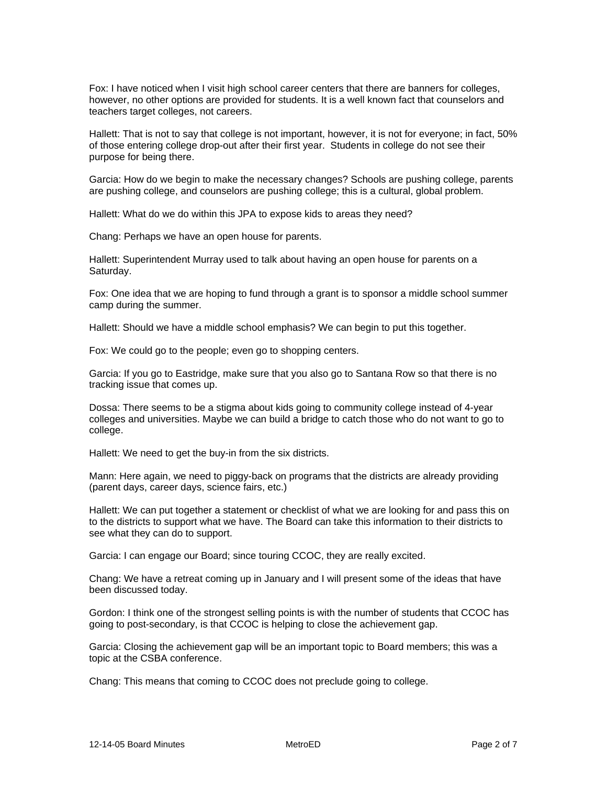Fox: I have noticed when I visit high school career centers that there are banners for colleges, however, no other options are provided for students. It is a well known fact that counselors and teachers target colleges, not careers.

Hallett: That is not to say that college is not important, however, it is not for everyone; in fact, 50% of those entering college drop-out after their first year. Students in college do not see their purpose for being there.

Garcia: How do we begin to make the necessary changes? Schools are pushing college, parents are pushing college, and counselors are pushing college; this is a cultural, global problem.

Hallett: What do we do within this JPA to expose kids to areas they need?

Chang: Perhaps we have an open house for parents.

Hallett: Superintendent Murray used to talk about having an open house for parents on a Saturday.

Fox: One idea that we are hoping to fund through a grant is to sponsor a middle school summer camp during the summer.

Hallett: Should we have a middle school emphasis? We can begin to put this together.

Fox: We could go to the people; even go to shopping centers.

Garcia: If you go to Eastridge, make sure that you also go to Santana Row so that there is no tracking issue that comes up.

Dossa: There seems to be a stigma about kids going to community college instead of 4-year colleges and universities. Maybe we can build a bridge to catch those who do not want to go to college.

Hallett: We need to get the buy-in from the six districts.

Mann: Here again, we need to piggy-back on programs that the districts are already providing (parent days, career days, science fairs, etc.)

Hallett: We can put together a statement or checklist of what we are looking for and pass this on to the districts to support what we have. The Board can take this information to their districts to see what they can do to support.

Garcia: I can engage our Board; since touring CCOC, they are really excited.

Chang: We have a retreat coming up in January and I will present some of the ideas that have been discussed today.

Gordon: I think one of the strongest selling points is with the number of students that CCOC has going to post-secondary, is that CCOC is helping to close the achievement gap.

Garcia: Closing the achievement gap will be an important topic to Board members; this was a topic at the CSBA conference.

Chang: This means that coming to CCOC does not preclude going to college.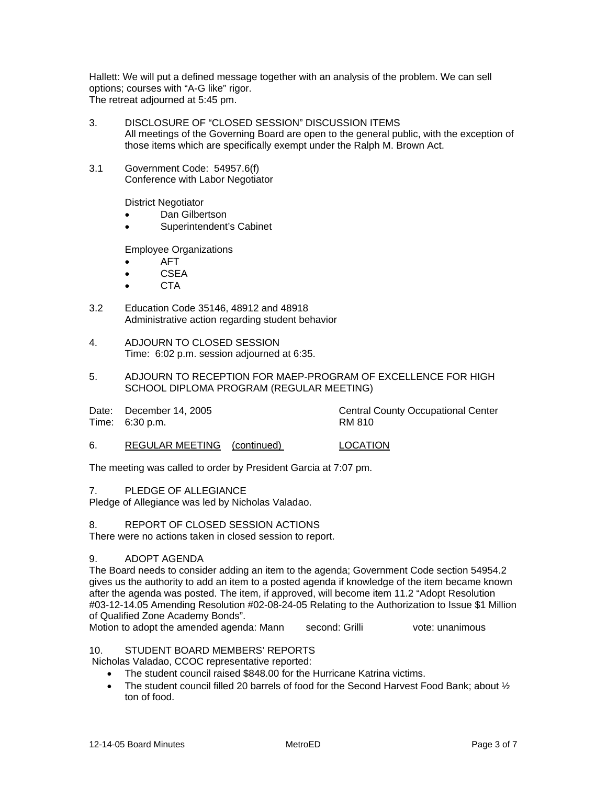Hallett: We will put a defined message together with an analysis of the problem. We can sell options; courses with "A-G like" rigor. The retreat adjourned at 5:45 pm.

- 3. DISCLOSURE OF "CLOSED SESSION" DISCUSSION ITEMS All meetings of the Governing Board are open to the general public, with the exception of those items which are specifically exempt under the Ralph M. Brown Act.
- 3.1 Government Code: 54957.6(f) Conference with Labor Negotiator

District Negotiator

- Dan Gilbertson
- Superintendent's Cabinet

Employee Organizations

- AFT
- **CSEA**
- CTA
- 3.2 Education Code 35146, 48912 and 48918 Administrative action regarding student behavior
- 4. ADJOURN TO CLOSED SESSION Time: 6:02 p.m. session adjourned at 6:35.
- 5. ADJOURN TO RECEPTION FOR MAEP-PROGRAM OF EXCELLENCE FOR HIGH SCHOOL DIPLOMA PROGRAM (REGULAR MEETING)

| Date: December 14, 2005<br>Time: 6:30 p.m. | <b>Central County Occupational Center</b><br>RM 810 |
|--------------------------------------------|-----------------------------------------------------|
|                                            |                                                     |

6. REGULAR MEETING (continued) LOCATION

The meeting was called to order by President Garcia at 7:07 pm.

7. PLEDGE OF ALLEGIANCE

Pledge of Allegiance was led by Nicholas Valadao.

## 8. REPORT OF CLOSED SESSION ACTIONS

There were no actions taken in closed session to report.

# 9. ADOPT AGENDA

The Board needs to consider adding an item to the agenda; Government Code section 54954.2 gives us the authority to add an item to a posted agenda if knowledge of the item became known after the agenda was posted. The item, if approved, will become item 11.2 "Adopt Resolution #03-12-14.05 Amending Resolution #02-08-24-05 Relating to the Authorization to Issue \$1 Million of Qualified Zone Academy Bonds".

Motion to adopt the amended agenda: Mann second: Grilli vote: unanimous

# 10. STUDENT BOARD MEMBERS' REPORTS

Nicholas Valadao, CCOC representative reported:

- The student council raised \$848.00 for the Hurricane Katrina victims.
- The student council filled 20 barrels of food for the Second Harvest Food Bank; about ½ ton of food.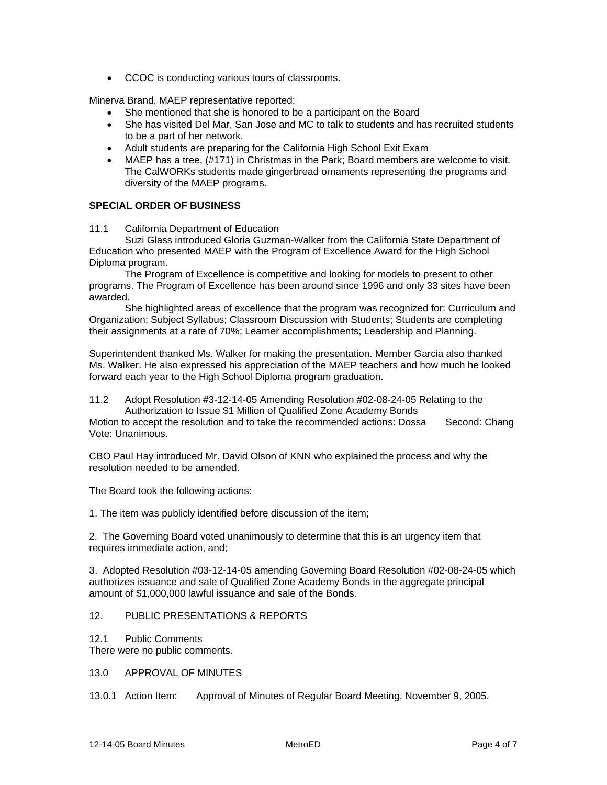• CCOC is conducting various tours of classrooms.

Minerva Brand, MAEP representative reported:

- She mentioned that she is honored to be a participant on the Board
- She has visited Del Mar, San Jose and MC to talk to students and has recruited students to be a part of her network.
- Adult students are preparing for the California High School Exit Exam
- MAEP has a tree, (#171) in Christmas in the Park; Board members are welcome to visit. The CalWORKs students made gingerbread ornaments representing the programs and diversity of the MAEP programs.

## **SPECIAL ORDER OF BUSINESS**

11.1 California Department of Education

 Suzi Glass introduced Gloria Guzman-Walker from the California State Department of Education who presented MAEP with the Program of Excellence Award for the High School Diploma program.

 The Program of Excellence is competitive and looking for models to present to other programs. The Program of Excellence has been around since 1996 and only 33 sites have been awarded.

 She highlighted areas of excellence that the program was recognized for: Curriculum and Organization; Subject Syllabus; Classroom Discussion with Students; Students are completing their assignments at a rate of 70%; Learner accomplishments; Leadership and Planning.

Superintendent thanked Ms. Walker for making the presentation. Member Garcia also thanked Ms. Walker. He also expressed his appreciation of the MAEP teachers and how much he looked forward each year to the High School Diploma program graduation.

11.2 Adopt Resolution #3-12-14-05 Amending Resolution #02-08-24-05 Relating to the Authorization to Issue \$1 Million of Qualified Zone Academy Bonds

Motion to accept the resolution and to take the recommended actions: Dossa Second: Chang Vote: Unanimous.

CBO Paul Hay introduced Mr. David Olson of KNN who explained the process and why the resolution needed to be amended.

The Board took the following actions:

1. The item was publicly identified before discussion of the item;

2. The Governing Board voted unanimously to determine that this is an urgency item that requires immediate action, and;

3. Adopted Resolution #03-12-14-05 amending Governing Board Resolution #02-08-24-05 which authorizes issuance and sale of Qualified Zone Academy Bonds in the aggregate principal amount of \$1,000,000 lawful issuance and sale of the Bonds.

## 12. PUBLIC PRESENTATIONS & REPORTS

12.1 Public Comments

There were no public comments.

## 13.0 APPROVAL OF MINUTES

13.0.1 Action Item: Approval of Minutes of Regular Board Meeting, November 9, 2005.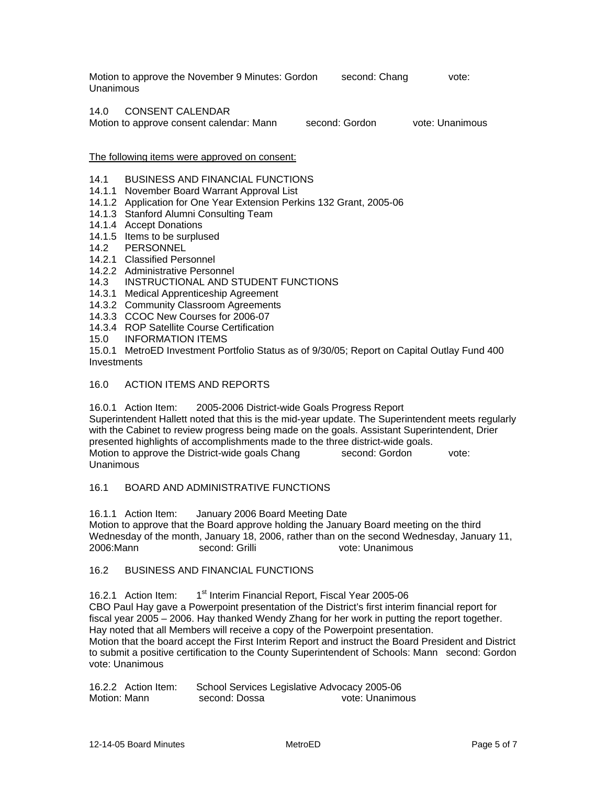Motion to approve the November 9 Minutes: Gordon second: Chang vote: Unanimous

## 14.0 CONSENT CALENDAR

Motion to approve consent calendar: Mann second: Gordon vote: Unanimous

#### The following items were approved on consent:

## 14.1 BUSINESS AND FINANCIAL FUNCTIONS

- 14.1.1 November Board Warrant Approval List
- 14.1.2 Application for One Year Extension Perkins 132 Grant, 2005-06
- 14.1.3 Stanford Alumni Consulting Team
- 14.1.4 Accept Donations
- 14.1.5 Items to be surplused
- 14.2 PERSONNEL
- 14.2.1 Classified Personnel
- 14.2.2 Administrative Personnel
- 14.3 INSTRUCTIONAL AND STUDENT FUNCTIONS
- 14.3.1 Medical Apprenticeship Agreement
- 14.3.2 Community Classroom Agreements
- 14.3.3 CCOC New Courses for 2006-07
- 14.3.4 ROP Satellite Course Certification<br>15.0 INFORMATION ITEMS
- **INFORMATION ITEMS**

15.0.1 MetroED Investment Portfolio Status as of 9/30/05; Report on Capital Outlay Fund 400 **Investments** 

#### 16.0 ACTION ITEMS AND REPORTS

16.0.1 Action Item: 2005-2006 District-wide Goals Progress Report Superintendent Hallett noted that this is the mid-year update. The Superintendent meets regularly with the Cabinet to review progress being made on the goals. Assistant Superintendent, Drier presented highlights of accomplishments made to the three district-wide goals. Motion to approve the District-wide goals Chang second: Gordon vote: Unanimous

## 16.1 BOARD AND ADMINISTRATIVE FUNCTIONS

16.1.1 Action Item: January 2006 Board Meeting Date Motion to approve that the Board approve holding the January Board meeting on the third Wednesday of the month, January 18, 2006, rather than on the second Wednesday, January 11, 2006:Mann second: Grilli vote: Unanimous

## 16.2 BUSINESS AND FINANCIAL FUNCTIONS

16.2.1 Action Item: 1<sup>st</sup> Interim Financial Report, Fiscal Year 2005-06 CBO Paul Hay gave a Powerpoint presentation of the District's first interim financial report for fiscal year 2005 – 2006. Hay thanked Wendy Zhang for her work in putting the report together. Hay noted that all Members will receive a copy of the Powerpoint presentation. Motion that the board accept the First Interim Report and instruct the Board President and District to submit a positive certification to the County Superintendent of Schools: Mann second: Gordon vote: Unanimous

| 16.2.2 Action Item: | School Services Legislative Advocacy 2005-06 |                 |
|---------------------|----------------------------------------------|-----------------|
| Motion: Mann        | second: Dossa                                | vote: Unanimous |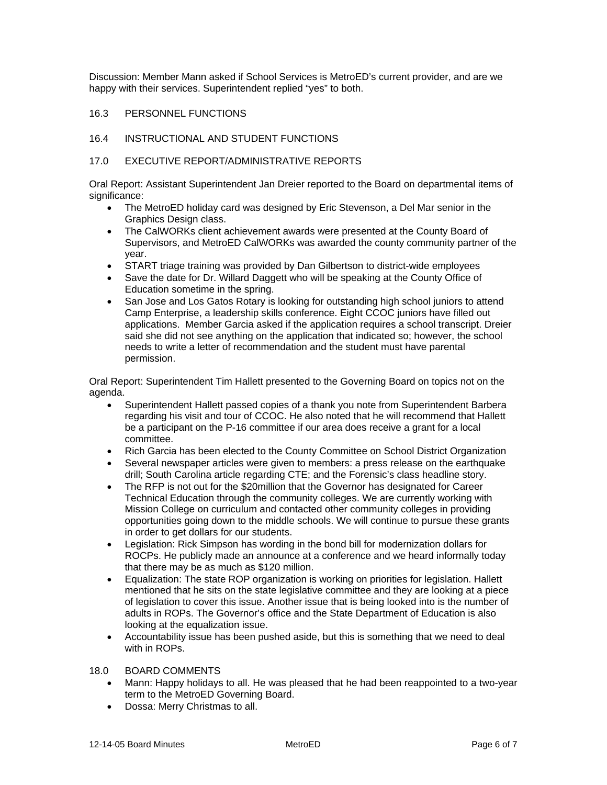Discussion: Member Mann asked if School Services is MetroED's current provider, and are we happy with their services. Superintendent replied "yes" to both.

## 16.3 PERSONNEL FUNCTIONS

## 16.4 INSTRUCTIONAL AND STUDENT FUNCTIONS

## 17.0 EXECUTIVE REPORT/ADMINISTRATIVE REPORTS

Oral Report: Assistant Superintendent Jan Dreier reported to the Board on departmental items of significance:

- The MetroED holiday card was designed by Eric Stevenson, a Del Mar senior in the Graphics Design class.
- The CalWORKs client achievement awards were presented at the County Board of Supervisors, and MetroED CalWORKs was awarded the county community partner of the year.
- START triage training was provided by Dan Gilbertson to district-wide employees
- Save the date for Dr. Willard Daggett who will be speaking at the County Office of Education sometime in the spring.
- San Jose and Los Gatos Rotary is looking for outstanding high school juniors to attend Camp Enterprise, a leadership skills conference. Eight CCOC juniors have filled out applications. Member Garcia asked if the application requires a school transcript. Dreier said she did not see anything on the application that indicated so; however, the school needs to write a letter of recommendation and the student must have parental permission.

Oral Report: Superintendent Tim Hallett presented to the Governing Board on topics not on the agenda.

- Superintendent Hallett passed copies of a thank you note from Superintendent Barbera regarding his visit and tour of CCOC. He also noted that he will recommend that Hallett be a participant on the P-16 committee if our area does receive a grant for a local committee.
- Rich Garcia has been elected to the County Committee on School District Organization
- Several newspaper articles were given to members: a press release on the earthquake drill; South Carolina article regarding CTE; and the Forensic's class headline story.
- The RFP is not out for the \$20million that the Governor has designated for Career Technical Education through the community colleges. We are currently working with Mission College on curriculum and contacted other community colleges in providing opportunities going down to the middle schools. We will continue to pursue these grants in order to get dollars for our students.
- Legislation: Rick Simpson has wording in the bond bill for modernization dollars for ROCPs. He publicly made an announce at a conference and we heard informally today that there may be as much as \$120 million.
- Equalization: The state ROP organization is working on priorities for legislation. Hallett mentioned that he sits on the state legislative committee and they are looking at a piece of legislation to cover this issue. Another issue that is being looked into is the number of adults in ROPs. The Governor's office and the State Department of Education is also looking at the equalization issue.
- Accountability issue has been pushed aside, but this is something that we need to deal with in ROPs.

## 18.0 BOARD COMMENTS

- Mann: Happy holidays to all. He was pleased that he had been reappointed to a two-year term to the MetroED Governing Board.
- Dossa: Merry Christmas to all.